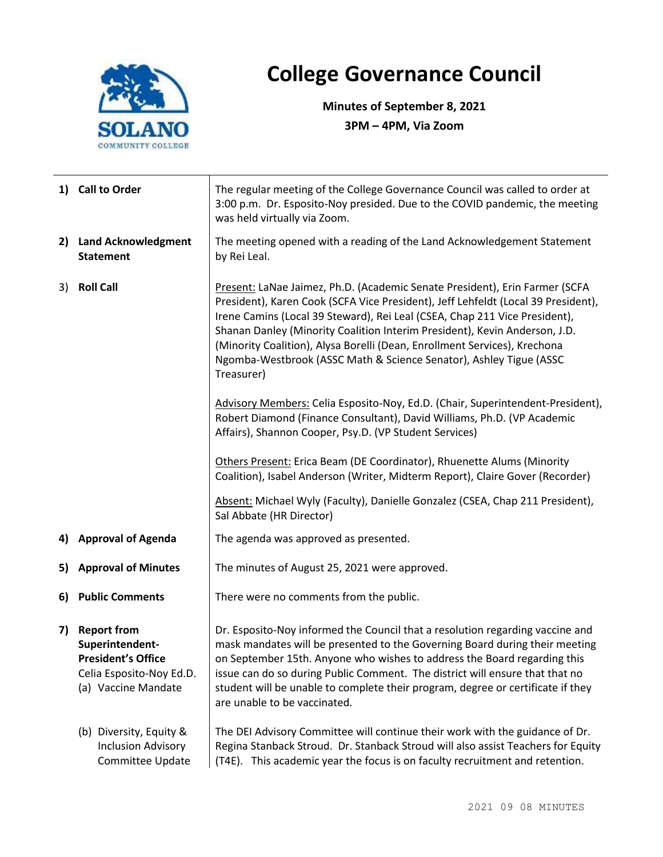

## **College Governance Council**

**Minutes of September 8, 2021 3PM – 4PM, Via Zoom**

|                        | 1) Call to Order                                                                                                      | The regular meeting of the College Governance Council was called to order at<br>3:00 p.m. Dr. Esposito-Noy presided. Due to the COVID pandemic, the meeting<br>was held virtually via Zoom.                                                                                                                                                                                                                                                                                                   |  |  |
|------------------------|-----------------------------------------------------------------------------------------------------------------------|-----------------------------------------------------------------------------------------------------------------------------------------------------------------------------------------------------------------------------------------------------------------------------------------------------------------------------------------------------------------------------------------------------------------------------------------------------------------------------------------------|--|--|
|                        | 2) Land Acknowledgment<br><b>Statement</b>                                                                            | The meeting opened with a reading of the Land Acknowledgement Statement<br>by Rei Leal.                                                                                                                                                                                                                                                                                                                                                                                                       |  |  |
| <b>Roll Call</b><br>3) |                                                                                                                       | Present: LaNae Jaimez, Ph.D. (Academic Senate President), Erin Farmer (SCFA<br>President), Karen Cook (SCFA Vice President), Jeff Lehfeldt (Local 39 President),<br>Irene Camins (Local 39 Steward), Rei Leal (CSEA, Chap 211 Vice President),<br>Shanan Danley (Minority Coalition Interim President), Kevin Anderson, J.D.<br>(Minority Coalition), Alysa Borelli (Dean, Enrollment Services), Krechona<br>Ngomba-Westbrook (ASSC Math & Science Senator), Ashley Tigue (ASSC<br>Treasurer) |  |  |
|                        |                                                                                                                       | Advisory Members: Celia Esposito-Noy, Ed.D. (Chair, Superintendent-President),<br>Robert Diamond (Finance Consultant), David Williams, Ph.D. (VP Academic<br>Affairs), Shannon Cooper, Psy.D. (VP Student Services)                                                                                                                                                                                                                                                                           |  |  |
|                        |                                                                                                                       | Others Present: Erica Beam (DE Coordinator), Rhuenette Alums (Minority<br>Coalition), Isabel Anderson (Writer, Midterm Report), Claire Gover (Recorder)                                                                                                                                                                                                                                                                                                                                       |  |  |
|                        |                                                                                                                       | Absent: Michael Wyly (Faculty), Danielle Gonzalez (CSEA, Chap 211 President),<br>Sal Abbate (HR Director)                                                                                                                                                                                                                                                                                                                                                                                     |  |  |
|                        | 4) Approval of Agenda                                                                                                 | The agenda was approved as presented.                                                                                                                                                                                                                                                                                                                                                                                                                                                         |  |  |
| 5)                     | <b>Approval of Minutes</b>                                                                                            | The minutes of August 25, 2021 were approved.                                                                                                                                                                                                                                                                                                                                                                                                                                                 |  |  |
|                        | 6) Public Comments                                                                                                    | There were no comments from the public.                                                                                                                                                                                                                                                                                                                                                                                                                                                       |  |  |
| 7)                     | <b>Report from</b><br>Superintendent-<br><b>President's Office</b><br>Celia Esposito-Noy Ed.D.<br>(a) Vaccine Mandate | Dr. Esposito-Noy informed the Council that a resolution regarding vaccine and<br>mask mandates will be presented to the Governing Board during their meeting<br>on September 15th. Anyone who wishes to address the Board regarding this<br>issue can do so during Public Comment. The district will ensure that that no<br>student will be unable to complete their program, degree or certificate if they<br>are unable to be vaccinated.                                                   |  |  |
|                        | (b) Diversity, Equity &<br><b>Inclusion Advisory</b><br>Committee Update                                              | The DEI Advisory Committee will continue their work with the guidance of Dr.<br>Regina Stanback Stroud. Dr. Stanback Stroud will also assist Teachers for Equity<br>(T4E). This academic year the focus is on faculty recruitment and retention.                                                                                                                                                                                                                                              |  |  |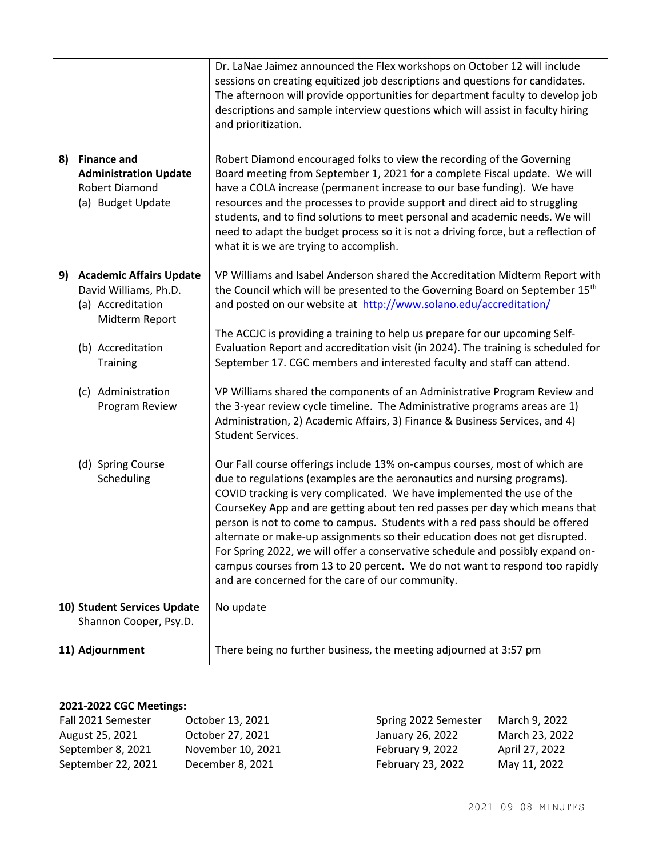| 8)                                                    | <b>Finance and</b><br><b>Administration Update</b><br><b>Robert Diamond</b><br>(a) Budget Update                                                  | Dr. LaNae Jaimez announced the Flex workshops on October 12 will include<br>sessions on creating equitized job descriptions and questions for candidates.<br>The afternoon will provide opportunities for department faculty to develop job<br>descriptions and sample interview questions which will assist in faculty hiring<br>and prioritization.<br>Robert Diamond encouraged folks to view the recording of the Governing<br>Board meeting from September 1, 2021 for a complete Fiscal update. We will<br>have a COLA increase (permanent increase to our base funding). We have<br>resources and the processes to provide support and direct aid to struggling<br>students, and to find solutions to meet personal and academic needs. We will<br>need to adapt the budget process so it is not a driving force, but a reflection of<br>what it is we are trying to accomplish. |
|-------------------------------------------------------|---------------------------------------------------------------------------------------------------------------------------------------------------|-----------------------------------------------------------------------------------------------------------------------------------------------------------------------------------------------------------------------------------------------------------------------------------------------------------------------------------------------------------------------------------------------------------------------------------------------------------------------------------------------------------------------------------------------------------------------------------------------------------------------------------------------------------------------------------------------------------------------------------------------------------------------------------------------------------------------------------------------------------------------------------------|
|                                                       | 9) Academic Affairs Update<br>David Williams, Ph.D.<br>(a) Accreditation<br>Midterm Report<br>(b) Accreditation<br>Training<br>(c) Administration | VP Williams and Isabel Anderson shared the Accreditation Midterm Report with<br>the Council which will be presented to the Governing Board on September 15 <sup>th</sup><br>and posted on our website at http://www.solano.edu/accreditation/<br>The ACCJC is providing a training to help us prepare for our upcoming Self-<br>Evaluation Report and accreditation visit (in 2024). The training is scheduled for<br>September 17. CGC members and interested faculty and staff can attend.<br>VP Williams shared the components of an Administrative Program Review and                                                                                                                                                                                                                                                                                                               |
|                                                       | Program Review                                                                                                                                    | the 3-year review cycle timeline. The Administrative programs areas are 1)<br>Administration, 2) Academic Affairs, 3) Finance & Business Services, and 4)<br>Student Services.                                                                                                                                                                                                                                                                                                                                                                                                                                                                                                                                                                                                                                                                                                          |
|                                                       | (d) Spring Course<br>Scheduling                                                                                                                   | Our Fall course offerings include 13% on-campus courses, most of which are<br>due to regulations (examples are the aeronautics and nursing programs).<br>COVID tracking is very complicated. We have implemented the use of the<br>CourseKey App and are getting about ten red passes per day which means that<br>person is not to come to campus. Students with a red pass should be offered<br>alternate or make-up assignments so their education does not get disrupted.<br>For Spring 2022, we will offer a conservative schedule and possibly expand on-<br>campus courses from 13 to 20 percent. We do not want to respond too rapidly<br>and are concerned for the care of our community.                                                                                                                                                                                       |
| 10) Student Services Update<br>Shannon Cooper, Psy.D. |                                                                                                                                                   | No update                                                                                                                                                                                                                                                                                                                                                                                                                                                                                                                                                                                                                                                                                                                                                                                                                                                                               |
| 11) Adjournment                                       |                                                                                                                                                   | There being no further business, the meeting adjourned at 3:57 pm                                                                                                                                                                                                                                                                                                                                                                                                                                                                                                                                                                                                                                                                                                                                                                                                                       |

## **2021-2022 CGC Meetings:**

| Fall 2021 Semester | October 13, 2021  | Spring 2022 Semester | March 9, 2022  |
|--------------------|-------------------|----------------------|----------------|
| August 25, 2021    | October 27, 2021  | January 26, 2022     | March 23, 2022 |
| September 8, 2021  | November 10, 2021 | February 9, 2022     | April 27, 2022 |
| September 22, 2021 | December 8, 2021  | February 23, 2022    | May 11, 2022   |